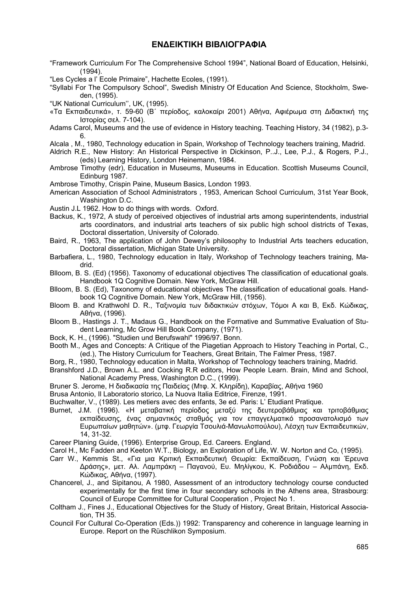## **ΕΝ∆ΕΙΚΤΙΚΗ ΒΙΒΛΙΟΓΡΑΦΙΑ**

- "Framework Curriculum For The Comprehensive School 1994", National Board of Education, Helsinki, (1994).
- "Les Cycles a l' Ecole Primaire", Hachette Ecoles, (1991).
- "Syllabi For The Compulsory School", Swedish Ministry Of Education And Science, Stockholm, Sweden, (1995).
- "UK National Curriculum'', UK, (1995).
- «Τα Εκπαιδευτικά», τ. 59-60 (Β΄ περίοδος, καλοκαίρι 2001) Αθήνα, Αφιέρωµα στη ∆ιδακτική της Ιστορίας σελ. 7-104).
- Adams Carol, Museums and the use of evidence in History teaching. Teaching History, 34 (1982), p.3- 6.
- Alcala , M., 1980, Technology education in Spain, Workshop of Technology teachers training, Madrid.
- Aldrich R.E., New History: An Historical Perspective in Dickinson, P..J., Lee, P.J., & Rogers, P.J., (eds) Learning History, London Heinemann, 1984.
- Ambrose Timothy (edr), Education in Museums, Museums in Education. Scottish Museums Council, Edinburg 1987.
- Ambrose Timothy, Crispin Paine, Museum Basics, London 1993.
- American Association of School Administrators , 1953, American School Curriculum, 31st Year Book, Washington D.C.
- Austin J.L 1962. How to do things with words. Oxford.
- Backus, K., 1972, A study of perceived objectives of industrial arts among superintendents, industrial arts coordinators, and industrial arts teachers of six public high school districts of Texas, Doctoral dissertation, University of Colorado.
- Baird, R., 1963, The application of John Dewey's philosophy to Industrial Arts teachers education, Doctoral dissertation, Michigan State University.
- Barbafiera, L., 1980, Technology education in Italy, Workshop of Technology teachers training, Madrid.
- Blloom, B. S. (Ed) (1956). Taxonomy of educational objectives The classification of educational goals. Handbook 1Q Cognitive Domain. New York, McGraw Hill.
- Blloom, B. S. (Ed), Taxonomy of educational objectives The classification of educational goals. Handbook 1Q Cognitive Domain. New York, McGraw Hill, (1956).
- Bloom B. and Krathwohl D. R., Ταξινοµία των διδακτικών στόχων, Τόµοι Α και Β, Εκδ. Κώδικας, Αθήνα, (1996).
- Bloom B., Hastings J. T., Madaus G., Handbook on the Formative and Summative Evaluation of Student Learning, Mc Grow Hill Book Company, (1971).
- Bock, K. H., (1996). "Studien und Berufswahl" 1996/97. Bonn.
- Booth M., Ages and Concepts: A Critique of the Piagetian Approach to History Teaching in Portal, C., (ed.), The History Curriculum for Teachers, Great Britain, The Falmer Press, 1987.
- Borg, R., 1980, Technology education in Malta, Workshop of Technology teachers training, Madrid.
- Branshford J.D., Brown A.L. and Cocking R.R editors, How People Learn. Brain, Mind and School, National Academy Press, Washington D.C., (1999).
- Bruner S. Jerome, Η διαδικασία της Παιδείας (Μτφ. Χ. Κληρίδη), Καραβίας, Αθήνα 1960
- Brusa Antonio, Il Laboratorio storico, La Nuova Italia Editrice, Firenze, 1991.
- Buchwalter, V., (1989). Les metiers avec des enfants, 3e ed. Paris: L' Etudiant Pratique.
- Burnet, J.M. (1996). «Η μεταβατική περίοδος μεταξύ της δευτεροβάθμιας και τριτοβάθμιας εκπαίδευσης, ένας σηµαντικός σταθµός για τον επαγγελµατικό προσανατολισµό των Ευρωπαίων µαθητών». (µτφ. Γεωργία Τσουλιά-Μανωλοπούλου), Λέσχη των Εκπαιδευτικών, 14, 31-32.
- Career Planing Guide, (1996). Enterprise Group, Ed. Careers. England.
- Carol H., Mc Fadden and Keeton W.T., Biology, an Exploration of Life, W. W. Norton and Co, (1995).
- Carr W., Kemmis St., «Για µια Κριτική Εκπαιδευτική Θεωρία: Εκπαίδευση, Γνώση και Έρευνα ∆ράσης», µετ. Αλ. Λαµπράκη – Παγανού, Ευ. Μηλίγκου, Κ. Ροδιάδου – Αλµπάνη, Εκδ. Κώδικας, Αθήνα, (1997).
- Chancerel, J., and Sipitanou, A 1980, Assessment of an introductory technology course conducted experimentally for the first time in four secondary schools in the Athens area, Strasbourg: Council of Europe Committee for Cultural Cooperation , Project No 1.
- Coltham J., Fines J., Educational Objectives for the Study of History, Great Britain, Historical Association, TH 35.
- Council For Cultural Co-Operation (Eds.)) 1992: Transparency and coherence in language learning in Europe. Report on the Rüschlikon Symposium.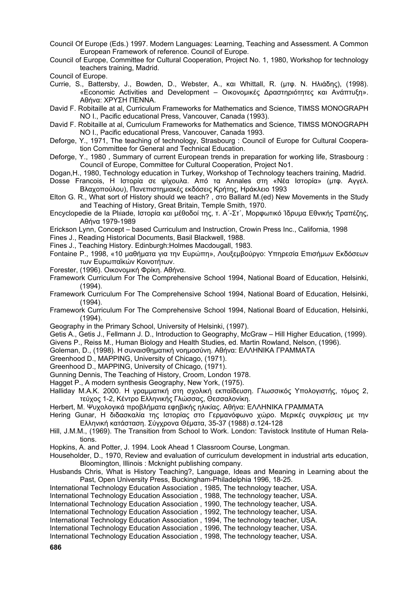Council Of Europe (Eds.) 1997. Modern Languages: Learning, Teaching and Assessment. A Common European Framework of reference. Council of Europe.

Council of Europe, Committee for Cultural Cooperation, Project No. 1, 1980, Workshop for technology teachers training, Madrid.

Council of Europe.

- Currie, S., Battersby, J., Bowden, D., Webster, A., και Whittall, R. (µτφ. Ν. Ηλιάδης), (1998). «Economic Activities and Development – Oικονοµικές ∆ραστηριότητες και Ανάπτυξη». Αθήνα: ΧΡΥΣΗ ΠΕΝΝΑ.
- David F. Robitaille at al, Curriculum Frameworks for Mathematics and Science, TIMSS MONOGRAPH NO I., Pacific educational Press, Vancouver, Canada (1993).
- David F. Robitaille at al, Curriculum Frameworks for Mathematics and Science, TIMSS MONOGRAPH NO I., Pacific educational Press, Vancouver, Canada 1993.
- Deforge, Y., 1971, The teaching of technology, Strasbourg : Council of Europe for Cultural Cooperation Committee for General and Technical Education.
- Deforge, Y., 1980 , Summary of current European trends in preparation for working life, Strasbourg : Council of Europe, Committee for Cultural Cooperation, Project No1.
- Dogan,H., 1980, Technology education in Turkey, Workshop of Technology teachers training, Madrid.
- Dosse Francois, Η Ιστορία σε ψίχουλα. Από τα Annales στη «Νέα Ιστορία» (µτφ. Αγγελ. Βλαχοπούλου), Πανεπιστηµιακές εκδόσεις Κρήτης, Ηράκλειο 1993
- Elton G. R., What sort of History should we teach? , στο Ballard M.(ed) New Movements in the Study and Teaching of History, Great Britain, Temple Smith, 1970.
- Encyclopedie de la Plιiade, Ιστορία και µέθοδοί της, τ. Α΄-Στ΄, Μορφωτικό Ίδρυµα Εθνικής Τραπέζης, Αθήνα 1979-1989
- Erickson Lynn, Concept based Curriculum and Instruction, Crowin Press Inc., California, 1998
- Fines J., Reading Historical Documents, Basil Blackwell, 1988.
- Fines J., Teaching History. Edinburgh:Holmes Macdougall, 1983.
- Fontaine P., 1998, «10 µαθήµατα για την Ευρώπη», Λουξεµβούργο: Υπηρεσία Επισήµων Εκδόσεων των Ευρωπαϊκών Κοινοτήτων.
- Forester, (1996). Oικονοµική Φρίκη. Αθήνα.
- Framework Curriculum For The Comprehensive School 1994, National Board of Education, Helsinki, (1994).
- Framework Curriculum For The Comprehensive School 1994, National Board of Education, Helsinki, (1994).
- Framework Curriculum For The Comprehensive School 1994, National Board of Education, Helsinki, (1994).
- Geography in the Primary School, University of Helsinki, (1997).
- Getis A., Getis J., Fellmann J. D., Introduction to Geography, McGraw Hill Higher Education, (1999).
- Givens P., Reiss M., Human Biology and Health Studies, ed. Martin Rowland, Nelson, (1996).
- Goleman, D., (1998). Η συναισθηματική νοημοσύνη, Αθήνα: ΕΛΛΗΝΙΚΑ ΓΡΑΜΜΑΤΑ
- Greenhood D., ΜΑΡΡΙΝG, University of Chicago, (1971).
- Greenhood D., ΜΑΡΡΙΝG, University of Chicago, (1971).
- Gunning Dennis, The Teaching of History, Croom, London 1978.
- Hagget P., A modern synthesis Geography, New York, (1975).
- Halliday M.A.K. 2000. Η γραμματική στη σχολική εκπαίδευση. Γλωσσικός Υπολογιστής, τόμος 2, τεύχος 1-2, Κέντρο Ελληνικής Γλώσσας, Θεσσαλονίκη.
- Herbert, Μ. Ψυχολογικά προβλήματα εφηβικής ηλικίας. Αθήνα: ΕΛΛΗΝΙΚΑ ΓΡΑΜΜΑΤΑ
- Hering Gunar, Η διδασκαλία της Ιστορίας στο Γερµανόφωνο χώρο. Μερικές συγκρίσεις µε την Ελληνική κατάσταση. Σύγχρονα Θέµατα, 35-37 (1988) σ.124-128
- Hill, J.M.M., (1969). The Transition from School to Work. London: Tavistock Institute of Human Relations.
- Hopkins, A. and Potter, J. 1994. Look Ahead 1 Classroom Course, Longman.
- Householder, D., 1970, Review and evaluation of curriculum development in industrial arts education, Bloomington, Illinois : Mcknight publishing company.
- Husbands Chris, What is History Teaching?, Language, Ideas and Meaning in Learning about the Past, Open University Press, Buckingham-Philadelphia 1996, 18-25.
- International Technology Education Association , 1985, The technology teacher, USA.
- International Technology Education Association , 1988, The technology teacher, USA.
- International Technology Education Association , 1990, The technology teacher, USA.
- International Technology Education Association , 1992, The technology teacher, USA.
- International Technology Education Association , 1994, The technology teacher, USA.
- International Technology Education Association , 1996, The technology teacher, USA.

International Technology Education Association , 1998, The technology teacher, USA.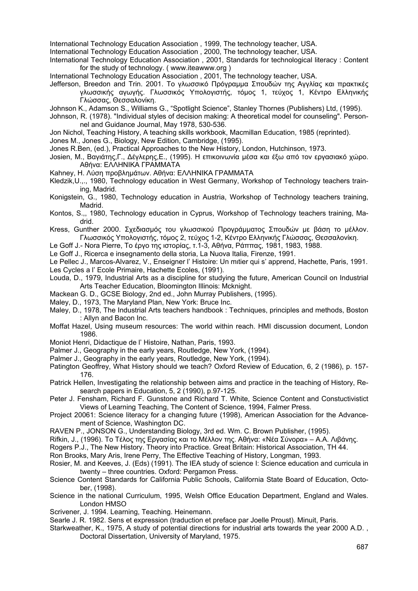International Technology Education Association , 1999, The technology teacher, USA.

International Technology Education Association , 2000, The technology teacher, USA.

- International Technology Education Association , 2001, Standards for technological literacy : Content for the study of technology. ( www.iteawww.org )
- International Technology Education Association , 2001, The technology teacher, USA.
- Jefferson, Breedon and Trin. 2001. Το γλωσσικό Πρόγραµµα Σπουδών της Αγγλίας και πρακτικές γλωσσικής αγωγής. Γλωσσικός Υπολογιστής, τόµος 1, τεύχος 1, Κέντρο Ελληνικής Γλώσσας, Θεσσαλονίκη.
- Johnson K., Adamson S., Williams G., "Spotlight Science", Stanley Thornes (Publishers) Ltd, (1995).
- Johnson, R. (1978). "Individual styles of decision making: A theoretical model for counseling". Personnel and Guidance Journal, May 1978, 530-536.
- Jon Nichol, Teaching History, A teaching skills workbook, Macmillan Education, 1985 (reprinted).
- Jones M., Jones G., Biology, New Edition, Cambridge, (1995).
- Jones R.Ben, (ed.), Practical Approaches to the New History, London, Hutchinson, 1973.
- Josien, Μ., Βαγιάτης,Γ., ∆έγλερης,Ε., (1995). Η επικοινωνία µέσα και έξω από τον εργασιακό χώρο. Αθήνα: ΕΛΛΗΝΙΚΑ ΓΡΑΜΜΑΤΑ
- Kahney, H. Λύση προβληµάτων. Αθήνα: ΕΛΛΗΝΙΚΑ ΓΡΑΜΜΑΤΑ
- Kledzik,U.,., 1980, Technology education in West Germany, Workshop of Technology teachers training, Madrid.
- Konigstein, G., 1980, Technology education in Austria, Workshop of Technology teachers training, Madrid.
- Kontos, S.,, 1980, Technology education in Cyprus, Workshop of Technology teachers training, Madrid.
- Kress, Gunther 2000. Σχεδιασµός του γλωσσικού Προγράµµατος Σπουδών µε βάση το µέλλον. Γλωσσικός Υπολογιστής, τόµος 2, τεύχος 1-2, Κέντρο Ελληνικής Γλώσσας, Θεσσαλονίκη.
- Le Goff J.- Nora Pierre, Το έργο της ιστορίας, τ.1-3, Αθήνα, Ράππας, 1981, 1983, 1988.
- Le Goff J., Ricerca e insegnamento della storia, La Nuova Italia, Firenze, 1991.
- Le Pellec J., Marcos-Alvarez, V., Enseigner l' Histoire: Un mιtier qui s' apprend, Hachette, Paris, 1991. Les Cycles a l' Ecole Primaire, Hachette Ecoles, (1991).
- Louda, D., 1979, Industrial Arts as a discipline for studying the future, American Council on Industrial Arts Teacher Education, Bloomington Illinois: Mcknight.
- Mackean G. D., GCSE Biology, 2nd ed., John Murray Publishers, (1995).
- Maley, D., 1973, The Maryland Plan, New York: Bruce Inc.
- Maley, D., 1978, The Industrial Arts teachers handbook : Techniques, principles and methods, Boston : Allyn and Bacon Inc.
- Moffat Hazel, Using museum resources: The world within reach. HMI discussion document, London 1986.
- Μoniot Henri, Didactique de l' Histoire, Nathan, Paris, 1993.
- Palmer J., Geography in the early years, Routledge, New York, (1994).
- Palmer J., Geography in the early years, Routledge, New York, (1994).
- Patington Geoffrey, What History should we teach? Oxford Review of Education, 6, 2 (1986), p. 157- 176.
- Patrick Hellen, Investigating the relationship between aims and practice in the teaching of History, Research papers in Education, 5, 2 (1990), p.97-125.
- Peter J. Fensham, Richard F. Gunstone and Richard T. White, Science Content and Constuctivistict Views of Learning Teaching, The Content of Science, 1994, Falmer Press.
- Project 20061: Science literacy for a changing future (1998), American Association for the Advancement of Science, Washington DC.
- RAVEN P., JONSON G., Understanding Biology, 3rd ed. Wm. C. Brown Publisher, (1995).
- Rifkin, J., (1996). Το Τέλος της Εργασίας και το Μέλλον της. Αθήνα: «Νέα Σύνορα» Α.Α. Λιβάνης.
- Rogers P.J., The New History. Theory into Practice. Great Britain: Historical Association, TH 44.
- Ron Brooks, Mary Aris, Irene Perry, The Effective Teaching of History, Longman, 1993.
- Rosier, M. and Keeves, J. (Eds) (1991). The IEA study of science I: Science education and curricula in twenty – three countries. Oxford: Pergamon Press.
- Science Content Standards for California Public Schools, California State Board of Education, October, (1998).
- Science in the national Curriculum, 1995, Welsh Office Education Department, England and Wales. London HMSO
- Scrivener, J. 1994. Learning, Teaching. Heinemann.
- Searle J. R. 1982. Sens et expression (traduction et preface par Joelle Proust). Minuit, Paris.
- Starkweather, K., 1975, A study of potential directions for industrial arts towards the year 2000 A.D. , Doctoral Dissertation, University of Maryland, 1975.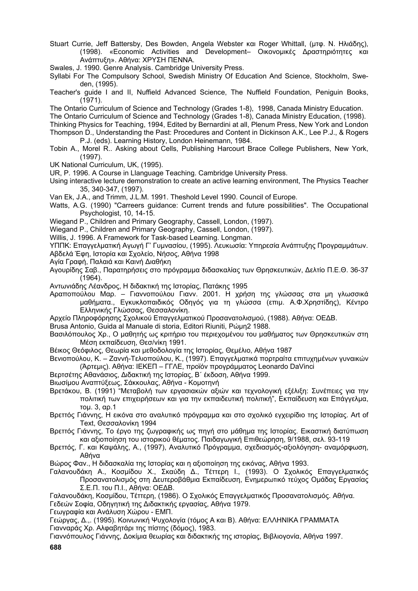- Stuart Currie, Jeff Battersby, Des Bowden, Angela Webster και Roger Whittall, (µτφ. Ν. Ηλιάδης), (1998). «Economic Activities and Development– Oικονοµικές ∆ραστηριότητες και Ανάπτυξη». Αθήνα: ΧΡΥΣΗ ΠΕΝΝΑ.
- Swales, J. 1990. Genre Analysis. Cambridge University Press.
- Syllabi For The Compulsory School, Swedish Ministry Of Education And Science, Stockholm, Sweden, (1995).
- Teacher's guide I and II, Nuffield Advanced Science, The Nuffield Foundation, Peniguin Books, (1971).
- The Ontario Curriculum of Science and Technology (Grades 1-8), 1998, Canada Ministry Education.
- The Ontario Curriculum of Science and Technology (Grades 1-8), Canada Ministry Education, (1998).

Thinking Physics for Teaching, 1994, Edited by Bernardini at all, Plenum Press, New York and London Thompson D., Understanding the Past: Procedures and Content in Dickinson A.K., Lee P.J., & Rogers P.J. (eds). Learning History, London Heinemann, 1984.

- Tobin A., Morel R.. Asking about Cells, Publishing Harcourt Brace College Publishers, New York, (1997).
- UK National Curriculum, UK, (1995).
- UR, P. 1996. A Course in Llanguage Teaching. Cambridge University Press.

Using interactive lecture demonstration to create an active learning environment, The Physics Teacher 35, 340-347, (1997).

- Van Ek, J.A., and Trimm, J.L.M. 1991. Theshold Level 1990. Council of Europe.
- Watts, A.G. (1990) "Carreers guidance: Current trends and future possibilities". The Occupational Psychologist, 10, 14-15.
- Wiegand P., Children and Primary Geography, Cassell, London, (1997).

Wiegand P., Children and Primary Geography, Cassell, London, (1997).

Willis, J. 1996. A Framework for Task-based Learning. Longman.

YΠΠΚ: Επαγγελµατική Αγωγή Γ' Γυµνασίου, (1995). Λευκωσία: Υπηρεσία Ανάπτυξης Προγραµµάτων. Αβδελά Έφη, Ιστορία και Σχολείο, Νήσος, Αθήνα 1998

- Αγία Γραφή, Παλαιά και Καινή ∆ιαθήκη
- Αγουρίδης Σαβ., Παρατηρήσεις στο πρόγραµµα διδασκαλίας των Θρησκευτικών, ∆ελτίο Π.Ε.Θ. 36-37 (1964).
- Αντωνιάδης Λέανδρος, Η διδακτική της Ιστορίας, Πατάκης 1995
- Αραποπούλου Μαρ. Γιαννοπούλου Γιανν. 2001. Η χρήση της γλώσσας στα µη γλωσσικά µαθήµατα., Εγκυκλοπαιδικός Οδηγός για τη γλώσσα (επιµ. Α.Φ.Χρηστίδης), Κέντρο Ελληνικής Γλώσσας, Θεσσαλονίκη.
- Αρχείο Πληροφόρησης Σχολικού Επαγγελµατικού Προσανατολισµού, (1988). Αθήνα: ΟΕ∆Β.
- Βrusa Antonio, Guida al Manuale di storia, Editori Riuniti, Ρώµη2 1988.
- Βασιλόπουλος Χρ., Ο µαθητής ως κριτήριο του περιεχοµένου του µαθήµατος των Θρησκευτικών στη Μέση εκπαίδευση, Θεσ/νίκη 1991.
- Βέικος Θεόφιλος, Θεωρία και µεθοδολογία της Ιστορίας, Θεµέλιο, Αθήνα 1987
- Βενιοπούλου, Κ. Ζαννή-Τελιοπούλου, Κ., (1997). Επαγγελµατικά πορτραίτα επιτυχηµένων γυναικών (Άρτεµις). Αθήνα: ΙΕΚΕΠ – ΓΓΛΕ, προϊόν προγράµµατος Leonardo DaVinci
- Βερτσέτης Αθανάσιος, ∆ιδακτική της Ιστορίας, Β΄ έκδοση, Αθήνα 1999.
- Βιωσίµου Αναπτύξεως, Σάκκουλας, Αθήνα Κοµοτηνή
- Bρετάκου, B. (1991) "Mεταβολή των εργασιακών αξιών και τεχνολογική εξέλιξη: Συνέπειες για την πολιτική των επιχειρήσεων και για την εκπαιδευτική πολιτική", Eκπαίδευση και Eπάγγελµα, τοµ. 3, αρ.1
- Βρεττός Γιάννης, Η εικόνα στο αναλυτικό πρόγραµµα και στο σχολικό εγχειρίδιο της Ιστορίας. Art of Text, Θεσσαλονίκη 1994
- Βρεττός Γιάννης, Το έργο της ζωγραφικής ως πηγή στο µάθηµα της Ιστορίας. Εικαστική διατύπωση και αξιοποίηση του ιστορικού θέµατος. Παιδαγωγική Επιθεώρηση, 9/1988, σελ. 93-119
- Βρεττός, Γ. και Καψάλης, Α., (1997), Αναλυτικό Πρόγραµµα, σχεδιασµός-αξιολόγηση- αναµόρφωση, Αθήνα
- Βώρος Φαν., Η διδασκαλία της Ιστορίας και η αξιοποίηση της εικόνας, Αθήνα 1993.
- Γαλανουδάκη Α., Κοσµίδου Χ., Σκαύδη ∆., Τέττερη Ι., (1993). Ο Σχολικός Επαγγελµατικός Προσανατολισµός στη ∆ευτεροβάθµια Εκπαίδευση, Ενηµερωτικό τεύχος Οµάδας Εργασίας Σ.Ε.Π. του Π.Ι., Αθήνα: ΟΕ∆Β.
- Γαλανουδάκη, Κοσµίδου, Τέττερη, (1986). O Σχολικός Επαγγελµατικός Προσανατολισµός. Αθήνα. Γεδεών Σοφία, Οδηγητική της ∆ιδακτικής εργασίας, Αθήνα 1979.
- Γεωγραφία και Ανάλυση Χώρου ΕΜΠ.

Γεώργας, ∆.,. (1995). Κοινωνική Ψυχολογία (τόµος Α και Β). Αθήνα: ΕΛΛΗΝΙΚΑ ΓΡΑΜΜΑΤΑ Γιανναράς Χρ. Αλφαβητάρι της πίστης (δόµος), 1983.

Γιαννόπουλος Γιάννης, ∆οκίµια θεωρίας και διδακτικής της ιστορίας, Βιβλιογονία, Αθήνα 1997.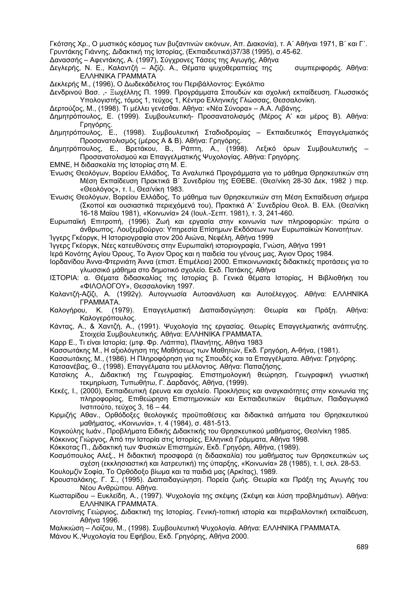Γκότσης Χρ., Ο µυστικός κόσµος των βυζαντινών εικόνων, Απ. ∆ιακονία), τ. Α΄ Αθήναι 1971, Β΄ και Γ΄. Γρυντάκης Γιάννης, ∆ιδακτική της Ιστορίας, (Εκπαιδευτικά)37/38 (1995), σ.45-62.

∆ανασσής – Αφεντάκης, Α. (1997), Σύγχρονες Τάσεις της Αγωγής, Αθήνα

∆εγλερής, Ν. Ε., Καλαντζή – Αζίζι. Α., Θέµατα ψυχοθεραπείας της συµπεριφοράς. Αθήνα: ΕΛΛΗΝΙΚΑ ΓΡΑΜΜΑΤΑ

∆εκλερής Μ., (1996), Ο ∆ωδεκάδελτος του Περιβάλλοντος: Εγκόλπιο

∆ενδρινού Βασ. ,- Ξωχέλλης Π. 1999. Προγράµµατα Σπουδών και σχολική εκπαίδευση. Γλωσσικός Υπολογιστής, τόµος 1, τεύχος 1, Κέντρο Ελληνικής Γλώσσας, Θεσσαλονίκη.

∆ερτούζος, Μ., (1998). Τι µέλλει γενέσθαι. Αθήνα: «Νέα Σύνορα» – Α.Α. Λιβάνης.

- ∆ηµητρόπουλος, Ε. (1999). Συµβουλευτική- Προσανατολισµός (Mέρος Α' και µέρος Β). Αθήνα: Γρηγόρης.
- ∆ηµητρόπουλος, Ε., (1998). Συµβουλευτική Σταδιοδροµίας Εκπαιδευτικός Επαγγελµατικός Προσανατολισµός (µέρος Α & Β). Αθήνα: Γρηγόρης.
- ∆ηµητρόπουλος, Ε., Βρετάκου, Β., Ράπτη, Α., (1998). Λεξικό όρων Συµβουλευτικής Προσανατολισµού και Επαγγελµατικής Ψυχολογίας. Αθήνα: Γρηγόρης.
- ΕΜΝΕ, Η διδασκαλία της Ιστορίας στη Μ. Ε.
- Ένωσις Θεολόγων, Βορείου Ελλάδος, Τα Αναλυτικά Προγράµµατα για το µάθηµα Θρησκευτικών στη Μέση Εκπαίδευση Πρακτικά Β΄ Συνεδρίου της ΕΘΕΒΕ. (Θεσ/νίκη 28-30 ∆εκ, 1982 ) περ. «Θεολόγος», τ. Ι., Θεσ/νίκη 1983.
- Ένωσις Θεολόγων, Βορείου Ελλάδος, Το µάθηµα των Θρησκευτικών στη Μέση Εκπαίδευση σήµερα (Σκοποί και ουσιαστικά περιεχόµενά του), Πρακτικά Α΄ Συνεδρίου Θεολ. Β. Ελλ. (Θεσ/νίκη 16-18 Μαϊου 1981), «Κοινωνία» 24 (Ιουλ.-Σεπτ. 1981), τ. 3, 241-460.
- Ευρωπαϊκή Επιτροπή, (1996). Ζωή και εργασία στην κοινωνία των πληροφοριών: πρώτα ο άνθρωπος. Λουξεµβούργο: Υπηρεσία Επίσηµων Εκδόσεων των Ευρωπαϊκών Κοινοτήτων.

Ίγγερς Γκέοργκ, Η Ιστοριογραφία στον 20ό Αιώνα, Νεφέλη, Αθήνα 1999

Ίγγερς Γκέοργκ, Νέες κατευθύνσεις στην Ευρωπαϊκή ιστοριογραφία, Γνώση, Αθήνα 1991

Ιερά Κονότης Αγίου Όρους, Το Άγιον Όρος και η παιδεία του γένους µας, Άγιον Όρος 1984.

- Ιορδανίδου Άννα-Φτερνιάτη Άννα (επιστ. Επιµέλεια) 2000. Επικοινωνιακές διδακτικές προτάσεις για το γλωσσικό µάθηµα στο δηµοτικό σχολείο. Εκδ. Πατάκης, Αθήνα
- ΙΣΤΟΡΙΑ: α. Θέµατα διδασκαλίας της Ιστορίας β. Γενικά θέµατα Ιστορίας, Η Βιβλιοθήκη του «ΦΙΛΟΛΟΓΟΥ», Θεσσαλονίκη 1997.
- Καλαντζή-Αζίζι, Α. (1992γ). Αυτογνωσία Αυτοανάλυση και Αυτοέλεγχος. Αθήνα: ΕΛΛΗΝΙΚΑ ΓΡΑΜΜΑΤΑ.
- Καλογήρου, Κ. (1979). Επαγγελµατική ∆ιαπαιδαγώγηση: Θεωρία και Πράξη. Αθήνα: Καλογερόπουλος.
- Κάντας, Α., & Χαντζή, Α., (1991). Ψυχολογία της εργασίας. Θεωρίες Επαγγελµατικής ανάπτυξης. Στοιχεία Συµβουλευτικής. Αθήνα: ΕΛΛΗΝΙΚΑ ΓΡΑΜΜΑΤΑ.
- Καρρ Ε., Τι είναι Ιστορία; (µτφ. Φρ. Λιάππα), Πλανήτης, Αθήνα 1983

Κασσωτάκης Μ., Η αξιολόγηση της Μαθήσεως των Μαθητών, Εκδ. Γρηγόρη, Α-θήνα, (1981).

Κασσωτάκης, M., (1986). Η Πληροφόρηση για τις Σπουδές και τα Επαγγέλµατα. Αθήνα: Γρηγόρης.

Κατσανέβας, Θ., (1998). Επαγγέλµατα του µέλλοντος. Αθήνα: Παπαζήσης.

- Κατσίκης Α., ∆ιδακτική της Γεωγραφίας. Επιστηµολογική θεώρηση, Γεωγραφική γνωστική τεκµηρίωση, Τυπωθήτω, Γ. ∆αρδανός, Αθήνα, (1999).
- Κεκές, Ι., (2000), Εκπαιδευτική έρευνα και σχολείο. Προκλήσεις και αναγκαιότητες στην κοινωνία της πληροφορίας, Επιθεώρηση Επιστηµονικών και Εκπαιδευτικών θεµάτων, Παιδαγωγικό Ινστιτούτο, τεύχος 3, 16 – 44.
- Κιρµιζής Αθαν., Ορθόδοξες θεολογικές προϋποθέσεις και διδακτικά αιτήµατα του Θρησκευτικού µαθήµατος, «Κοινωνία», τ. 4 (1984), σ. 481-513.
- Κογκούλης Ιωάν., Προβλήµατα Ειδικής ∆ιδακτικής του Θρησκευτικού µαθήµατος, Θεσ/νίκη 1985.
- Κόκκινος Γιώργος, Από την Ιστορία στις Ιστορίες, Ελληνικά Γράµµατα, Αθήνα 1998.

Κόκκοτας Π., ∆ιδακτική των Φυσικών Επιστηµών, Εκδ. Γρηγόρη, Αθήνα, (1989).

Κοσµόπουλος Αλεξ., Η διδακτική προσφορά (η διδασκαλία) του µαθήµατος των Θρησκευτικών ως σχέση (εκκλησιαστική και λατρευτική) της ύπαρξης, «Κοινωνία» 28 (1985), τ. Ι, σελ. 28-53.

- Κουλοµζίν Σοφία, Το Ορθόδοξο βίωµα και τα παιδιά µας (Αρκίτας), 1989.
- Κρουσταλάκης, Γ. Σ., (1995). ∆ιαπαιδαγώγηση. Πορεία ζωής. Θεωρία και Πράξη της Αγωγής του Νέου Ανθρώπου. Αθήνα.
- Κωσταρίδου Ευκλείδη, Α., (1997). Ψυχολογία της σκέψης (Σκέψη και λύση προβληµάτων). Αθήνα: ΕΛΛΗΝΙΚΑ ΓΡΑΜΜΑΤΑ.
- Λεοντσίνης Γεώργιος, ∆ιδακτική της Ιστορίας. Γενική-τοπική ιστορία και περιβαλλοντική εκπαίδευση, Αθήνα 1996.

Μαλικιώση – Λοϊζου, Μ., (1998). Συµβουλευτική Ψυχολογία. Αθήνα: ΕΛΛΗΝΙΚΑ ΓΡΑΜΜΑΤΑ.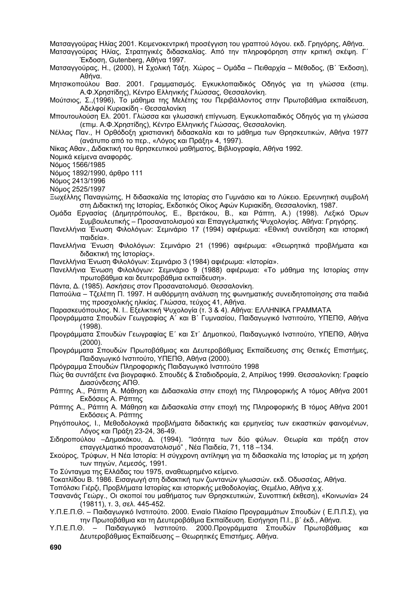Ματσαγγούρας Ηλίας 2001. Κειµενοκεντρική προσέγγιση του γραπτού λόγου. εκδ. Γρηγόρης, Αθήνα.

Ματσαγγούρας Ηλίας, Στρατηγικές διδασκαλίας. Από την πληροφόρηση στην κριτική σκέψη. Γ΄ Έκδοση, Gutenberg, Αθήνα 1997.

Ματσαγγούρας, Η., (2000), Η Σχολική Τάξη. Χώρος – Οµάδα – Πειθαρχία – Μέθοδος, (Β΄ Έκδοση), Αθήνα.

Μητσικοπούλου Βασ. 2001. Γραµµατισµός. Εγκυκλοπαιδικός Οδηγός για τη γλώσσα (επιµ. Α.Φ.Χρηστίδης), Κέντρο Ελληνικής Γλώσσας, Θεσσαλονίκη.

Μούτσιος, Σ.,(1996), Το µάθηµα της Μελέτης του Περιβάλλοντος στην Πρωτοβάθµια εκπαίδευση, Αδελφοί Κυριακίδη - Θεσσαλονίκη

Μπουτουλούση Ελ. 2001. Γλώσσα και γλωσσική επίγνωση. Εγκυκλοπαιδικός Οδηγός για τη γλώσσα (επιµ. Α.Φ.Χρηστίδης), Κέντρο Ελληνικής Γλώσσας, Θεσσαλονίκη.

Νέλλας Παν., Η Ορθόδοξη χριστιανική διδασκαλία και το µάθηµα των Θρησκευτικών, Αθήνα 1977 (ανάτυπο από το περ., «Λόγος και Πράξη» 4, 1997).

Νίκας Αθαν., ∆ιδακτική του θρησκευτικού µαθήµατος, Βιβλιογραφία, Αθήνα 1992.

Νοµικά κείµενα αναφοράς.

Νόµος 1566/1985

Νόµος 1892/1990, άρθρο 111

Νόµος 2413/1996

Νόµος 2525/1997

- Ξωχέλλης Παναγιώτης. Η διδασκαλία της Ιστορίας στο Γυμγάσιο και το Λύκειο. Ερευνητική συμβολή στη ∆ιδακτική της Ιστορίας, Εκδοτικός Οίκος Αφών Κυριακίδη, Θεσσαλονίκη, 1987.
- Oµάδα Εργασίας (∆ηµητρόπουλος, Ε., Βρετάκου, Β., και Ράπτη, Α.) (1998). Λεξικό Όρων Συµβουλευτικής – Προσανατολισµού και Επαγγελµατικής Ψυχολογίας. Αθήνα: Γρηγόρης.
- Πανελλήνια Ένωση Φιλολόγων: Σεµινάριο 17 (1994) αφιέρωµα: «Εθνική συνείδηση και ιστορική παιδεία».
- Πανελλήνια Ένωση Φιλολόγων: Σεµινάριο 21 (1996) αφιέρωµα: «Θεωρητικά προβλήµατα και διδακτική της Ιστορίας».
- Πανελλήνια Ένωση Φιλολόγων: Σεµινάριο 3 (1984) αφιέρωµα: «Ιστορία».
- Πανελλήνια Ένωση Φιλολόγων: Σεµινάριο 9 (1988) αφιέρωµα: «Το µάθηµα της Ιστορίας στην πρωτοβάθµια και δευτεροβάθµια εκπαίδευση».
- Πάντα, ∆. (1985). Ασκήσεις στον Προσανατολισµό. Θεσσαλονίκη.
- Παπούλια Τζελέπη Π. 1997. Η αυθόρµητη ανάλυση της φωνηµατικής συνειδητοποίησης στα παιδιά της προσχολικής ηλικίας. Γλώσσα, τεύχος 41, Αθήνα.
- Παρασκευόπουλος. Ν. Ι.. Εξελικτική Ψυχολογία (τ. 3 & 4). Αθήνα: ΕΛΛΗΝΙΚΑ ΓΡΑΜΜΑΤΑ
- Προγράµµατα Σπουδών Γεωγραφίας Α΄ και Β΄ Γυµνασίου, Παιδαγωγικό Ινστιτούτο, ΥΠΕΠΘ, Αθήνα (1998).
- Προγράµµατα Σπουδών Γεωγραφίας Ε΄ και Στ΄ ∆ηµοτικού, Παιδαγωγικό Ινστιτούτο, ΥΠΕΠΘ, Αθήνα (2000).
- Προγράµµατα Σπουδών Πρωτοβάθµιας και ∆ευτεροβάθµιας Εκπαίδευσης στις Θετικές Επιστήµες, Παιδαγωγικό Ινστιτούτο, ΥΠΕΠΘ, Αθήνα (2000).

Πρόγραµµα Σπουδών Πληροφορικής Παιδαγωγικό Ινστιτούτο 1998

- Πώς θα συντάξετε ένα βιογραφικό. Σπουδές & Σταδιοδροµία, 2, Απρίλιος 1999. Θεσσαλονίκη: Γραφείο ∆ιασύνδεσης ΑΠΘ.
- Ράπτης Α., Ράπτη Α. Μάθηση και ∆ιδασκαλία στην εποχή της Πληροφορικής Α τόµος Αθήνα 2001 Εκδόσεις Α. Ράπτης
- Ράπτης Α., Ράπτη Α. Μάθηση και ∆ιδασκαλία στην εποχή της Πληροφορικής Β τόµος Αθήνα 2001 Εκδόσεις Α. Ράπτης
- Ρηγόπουλος, Ι., Μεθοδολογικά προβλήµατα διδακτικής και ερµηνείας των εικαστικών φαινοµένων, Λόγος και Πράξη 23-24, 36-49.
- Σιδηροπούλου –∆ηµακάκου, ∆. (1994). "Ισότητα των δύο φύλων. Θεωρία και πράξη στον επαγγελµατικό προσανατολισµό" , Νέα Παιδεία, 71, 118 –134.
- Σκούρος, Τρύφων, Η Νέα Ιστορία: Η σύγχρονη αντίληψη για τη διδασκαλία της Ιστορίας µε τη χρήση των πηγών, Λεµεσός, 1991.
- Το Σύνταγµα της Ελλάδας του 1975, αναθεωρηµένο κείµενο.
- Τοκατλίδου Β. 1986. Εισαγωγή στη διδακτική των ζωντανών γλωσσών. εκδ. Οδυσσέας, Αθήνα.
- Τοπόλσκι Γιέρζι, Προβλήµατα Ιστορίας και ιστορικής µεθοδολογίας, Θεµέλιο, Αθήνα χ.χ.
- Τσανανάς Γεώργ., Οι σκοποί του µαθήµατος των Θρησκευτικών, Συνοπτική έκθεση), «Κοινωνία» 24 (19811), τ. 3, σελ. 445-452.
- Υ.Π.Ε.Π.Θ. Παιδαγωγικό Ινστιτούτο. 2000. Ενιαίο Πλαίσιο Προγραµµάτων Σπουδών ( Ε.Π.Π.Σ), για την Πρωτοβάθµια και τη ∆ευτεροβάθµια Εκπαίδευση. Εισήγηση Π.Ι., β΄ έκδ., Αθήνα.
- Υ.Π.Ε.Π.Θ. Παιδαγωγικό Ινστιτούτο. 2000.Προγράµµατα Σπουδών Πρωτοβάθµιας και ∆ευτεροβάθµιας Εκπαίδευσης – Θεωρητικές Επιστήµες. Αθήνα.